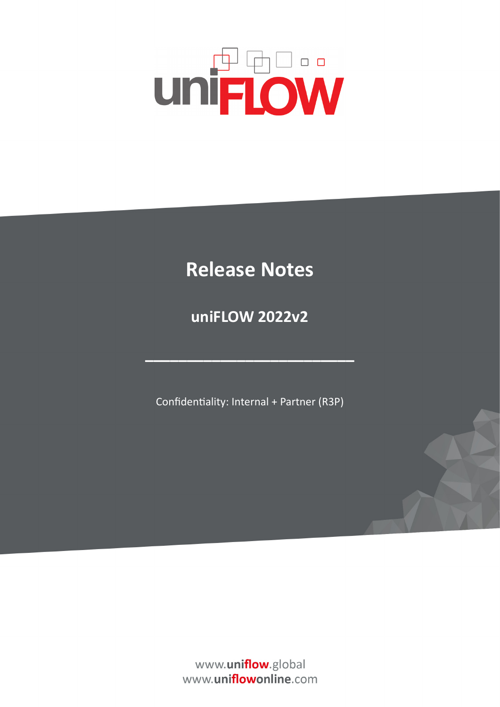# **UNFLOW**

## **Release Notes**

**uniFLOW 2022v2**

Confidentiality: Internal + Partner (R3P)

**–––––––––––––––––––––––––**

www.uniflow.global www.uniflowonline.com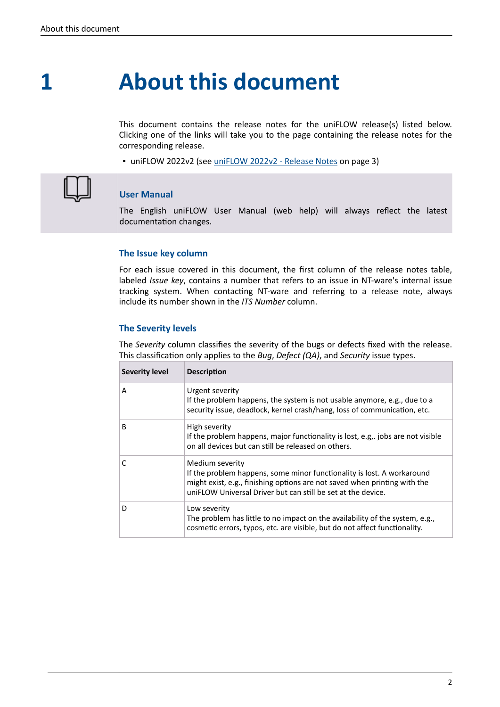### **About this document 1**

This document contains the release notes for the uniFLOW release(s) listed below. Clicking one of the links will take you to the page containing the release notes for the corresponding release.

▪ uniFLOW 2022v2 (see [uniFLOW 2022v2 - Release Notes](#page-2-0) on page 3)



#### **User Manual**

The English uniFLOW User Manual (web help) will always reflect the latest documentation changes.

#### **The Issue key column**

For each issue covered in this document, the first column of the release notes table, labeled *Issue key*, contains a number that refers to an issue in NT-ware's internal issue tracking system. When contacting NT-ware and referring to a release note, always include its number shown in the *ITS Number* column.

#### **The Severity levels**

The *Severity* column classifies the severity of the bugs or defects fixed with the release. This classification only applies to the *Bug*, *Defect (QA)*, and *Security* issue types.

| <b>Severity level</b> | <b>Description</b>                                                                                                                                                                                                                     |
|-----------------------|----------------------------------------------------------------------------------------------------------------------------------------------------------------------------------------------------------------------------------------|
| A                     | Urgent severity<br>If the problem happens, the system is not usable anymore, e.g., due to a<br>security issue, deadlock, kernel crash/hang, loss of communication, etc.                                                                |
| <sup>B</sup>          | High severity<br>If the problem happens, major functionality is lost, e.g., jobs are not visible<br>on all devices but can still be released on others.                                                                                |
| $\mathsf{C}$          | Medium severity<br>If the problem happens, some minor functionality is lost. A workaround<br>might exist, e.g., finishing options are not saved when printing with the<br>uniELOW Universal Driver but can still be set at the device. |
| D                     | Low severity<br>The problem has little to no impact on the availability of the system, e.g.,<br>cosmetic errors, typos, etc. are visible, but do not affect functionality.                                                             |